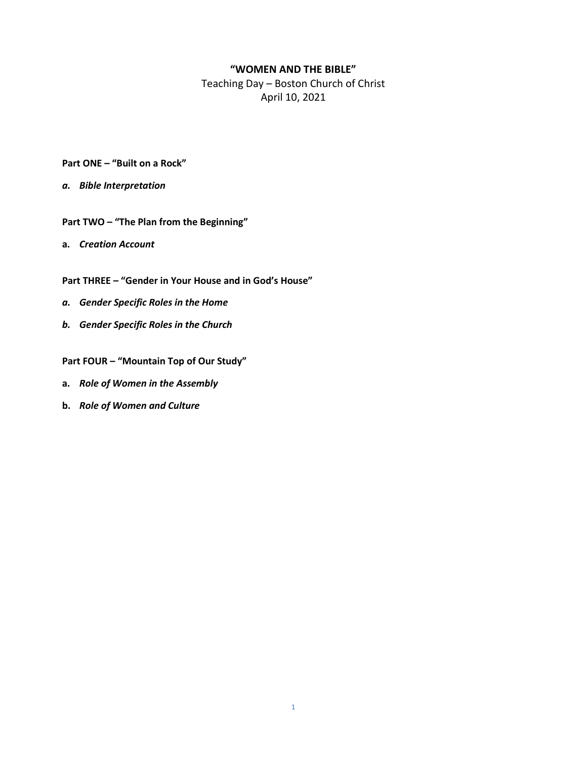#### **"WOMEN AND THE BIBLE"**

Teaching Day – Boston Church of Christ April 10, 2021

- **Part ONE – "Built on a Rock"**
- *a. Bible Interpretation*
- **Part TWO – "The Plan from the Beginning"**
- **a.** *Creation Account*
- **Part THREE – "Gender in Your House and in God's House"**
- *a. Gender Specific Roles in the Home*
- *b. Gender Specific Roles in the Church*

**Part FOUR – "Mountain Top of Our Study"**

- **a.** *Role of Women in the Assembly*
- **b.** *Role of Women and Culture*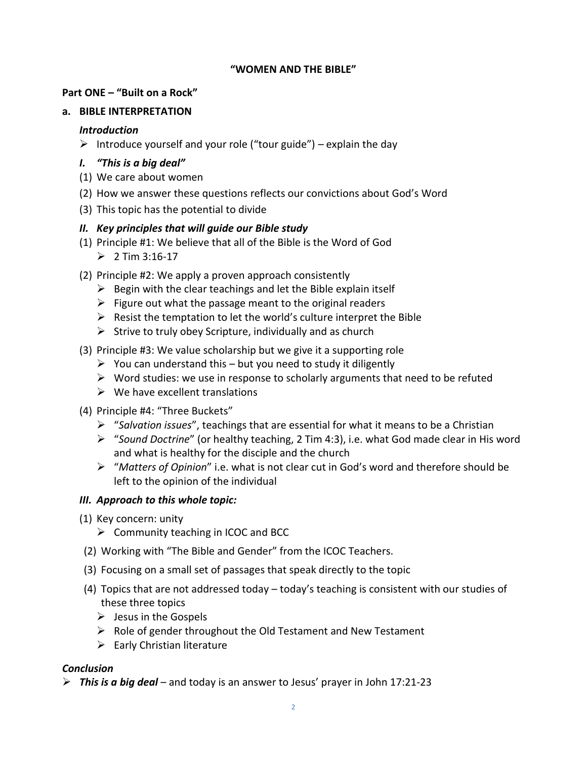#### **"WOMEN AND THE BIBLE"**

#### **Part ONE – "Built on a Rock"**

## **a. BIBLE INTERPRETATION**

#### *Introduction*

 $\triangleright$  Introduce yourself and your role ("tour guide") – explain the day

## *I. "This is a big deal"*

- (1) We care about women
- (2) How we answer these questions reflects our convictions about God's Word
- (3) This topic has the potential to divide

## *II. Key principles that will guide our Bible study*

- (1) Principle #1: We believe that all of the Bible is the Word of God  $> 2$  Tim 3:16-17
- (2) Principle #2: We apply a proven approach consistently
	- $\triangleright$  Begin with the clear teachings and let the Bible explain itself
	- $\triangleright$  Figure out what the passage meant to the original readers
	- $\triangleright$  Resist the temptation to let the world's culture interpret the Bible
	- $\triangleright$  Strive to truly obey Scripture, individually and as church
- (3) Principle #3: We value scholarship but we give it a supporting role
	- $\triangleright$  You can understand this but you need to study it diligently
	- $\triangleright$  Word studies: we use in response to scholarly arguments that need to be refuted
	- $\triangleright$  We have excellent translations
- (4) Principle #4: "Three Buckets"
	- ➢ "*Salvation issues*", teachings that are essential for what it means to be a Christian
	- ➢ "*Sound Doctrine*" (or healthy teaching, 2 Tim 4:3), i.e. what God made clear in His word and what is healthy for the disciple and the church
	- ➢ "*Matters of Opinion*" i.e. what is not clear cut in God's word and therefore should be left to the opinion of the individual

## *III. Approach to this whole topic:*

- (1) Key concern: unity
	- $\triangleright$  Community teaching in ICOC and BCC
- (2) Working with "The Bible and Gender" from the ICOC Teachers.
- (3) Focusing on a small set of passages that speak directly to the topic
- (4) Topics that are not addressed today today's teaching is consistent with our studies of these three topics
	- $\triangleright$  Jesus in the Gospels
	- ➢ Role of gender throughout the Old Testament and New Testament
	- $\triangleright$  Early Christian literature

## *Conclusion*

➢ *This is a big deal* – and today is an answer to Jesus' prayer in John 17:21-23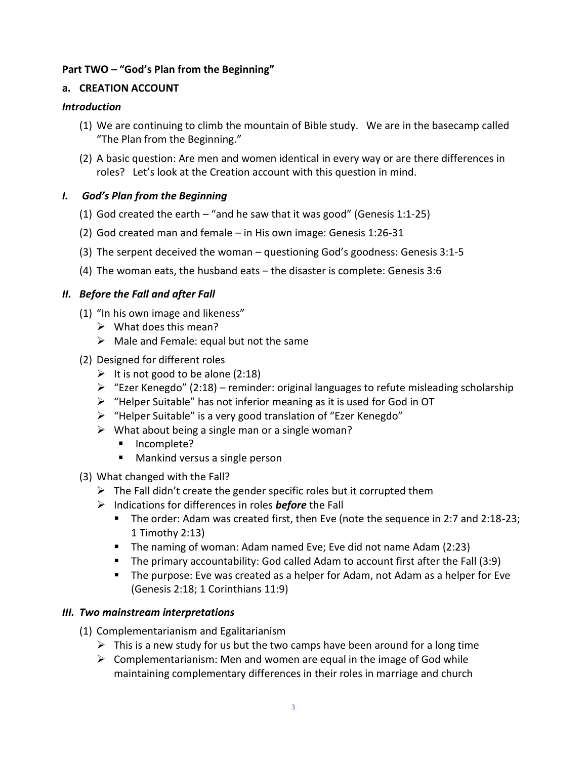## **Part TWO – "God's Plan from the Beginning"**

## **a. CREATION ACCOUNT**

## *Introduction*

- (1) We are continuing to climb the mountain of Bible study. We are in the basecamp called "The Plan from the Beginning."
- (2) A basic question: Are men and women identical in every way or are there differences in roles? Let's look at the Creation account with this question in mind.

# *I. God's Plan from the Beginning*

- (1) God created the earth "and he saw that it was good" (Genesis 1:1-25)
- (2) God created man and female in His own image: Genesis 1:26-31
- (3) The serpent deceived the woman questioning God's goodness: Genesis 3:1-5
- (4) The woman eats, the husband eats the disaster is complete: Genesis 3:6

# *II. Before the Fall and after Fall*

- (1) "In his own image and likeness"
	- $\triangleright$  What does this mean?
	- $\triangleright$  Male and Female: equal but not the same
- (2) Designed for different roles
	- $\triangleright$  It is not good to be alone (2:18)
	- $\triangleright$  "Ezer Kenegdo" (2:18) reminder: original languages to refute misleading scholarship
	- ➢ "Helper Suitable" has not inferior meaning as it is used for God in OT
	- ➢ "Helper Suitable" is a very good translation of "Ezer Kenegdo"
	- $\triangleright$  What about being a single man or a single woman?
		- Incomplete?
		- Mankind versus a single person
- (3) What changed with the Fall?
	- $\triangleright$  The Fall didn't create the gender specific roles but it corrupted them
	- ➢ Indications for differences in roles *before* the Fall
		- The order: Adam was created first, then Eve (note the sequence in 2:7 and 2:18-23; 1 Timothy 2:13)
		- The naming of woman: Adam named Eve; Eve did not name Adam (2:23)
		- The primary accountability: God called Adam to account first after the Fall (3:9)
		- The purpose: Eve was created as a helper for Adam, not Adam as a helper for Eve (Genesis 2:18; 1 Corinthians 11:9)

## *III. Two mainstream interpretations*

- (1) Complementarianism and Egalitarianism
	- $\triangleright$  This is a new study for us but the two camps have been around for a long time
	- $\triangleright$  Complementarianism: Men and women are equal in the image of God while maintaining complementary differences in their roles in marriage and church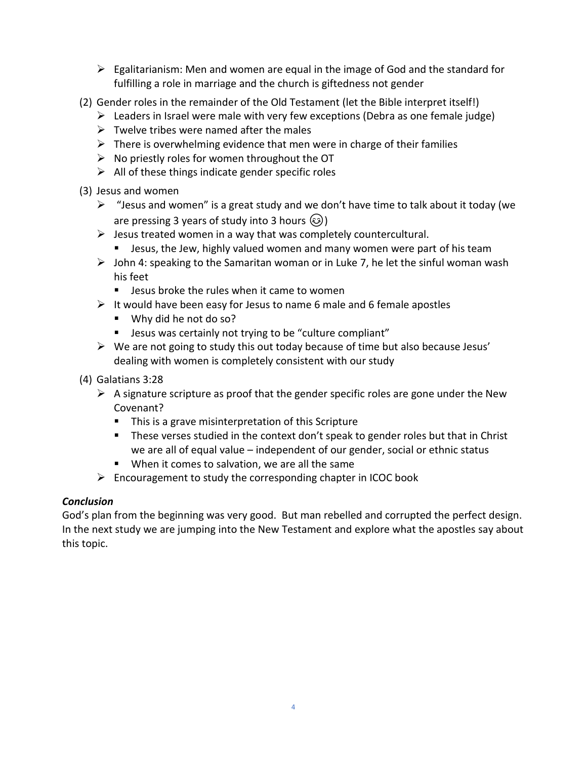- $\triangleright$  Egalitarianism: Men and women are equal in the image of God and the standard for fulfilling a role in marriage and the church is giftedness not gender
- (2) Gender roles in the remainder of the Old Testament (let the Bible interpret itself!)
	- $\triangleright$  Leaders in Israel were male with very few exceptions (Debra as one female judge)
	- $\triangleright$  Twelve tribes were named after the males
	- $\triangleright$  There is overwhelming evidence that men were in charge of their families
	- $\triangleright$  No priestly roles for women throughout the OT
	- $\triangleright$  All of these things indicate gender specific roles
- (3) Jesus and women
	- $\triangleright$  "Jesus and women" is a great study and we don't have time to talk about it today (we are pressing 3 years of study into 3 hours  $\circled{)}$
	- $\triangleright$  Jesus treated women in a way that was completely countercultural.
		- **E** Jesus, the Jew, highly valued women and many women were part of his team
	- $\triangleright$  John 4: speaking to the Samaritan woman or in Luke 7, he let the sinful woman wash his feet
		- Jesus broke the rules when it came to women
	- $\triangleright$  It would have been easy for Jesus to name 6 male and 6 female apostles
		- Why did he not do so?
		- Jesus was certainly not trying to be "culture compliant"
	- $\triangleright$  We are not going to study this out today because of time but also because Jesus' dealing with women is completely consistent with our study
- (4) Galatians 3:28
	- $\triangleright$  A signature scripture as proof that the gender specific roles are gone under the New Covenant?
		- This is a grave misinterpretation of this Scripture
		- These verses studied in the context don't speak to gender roles but that in Christ we are all of equal value – independent of our gender, social or ethnic status
		- When it comes to salvation, we are all the same
	- $\triangleright$  Encouragement to study the corresponding chapter in ICOC book

## *Conclusion*

God's plan from the beginning was very good. But man rebelled and corrupted the perfect design. In the next study we are jumping into the New Testament and explore what the apostles say about this topic.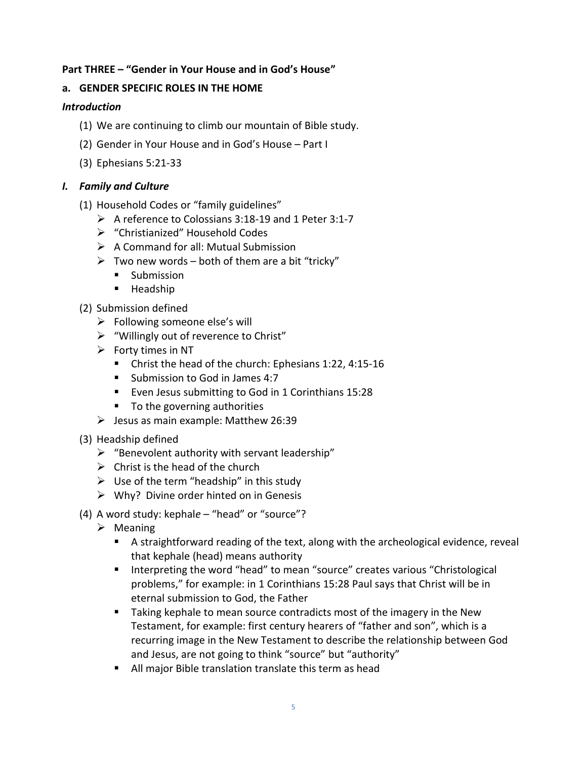## **Part THREE – "Gender in Your House and in God's House"**

## **a. GENDER SPECIFIC ROLES IN THE HOME**

#### *Introduction*

- (1) We are continuing to climb our mountain of Bible study.
- (2) Gender in Your House and in God's House Part I
- (3) Ephesians 5:21-33

#### *I. Family and Culture*

- (1) Household Codes or "family guidelines"
	- ➢ A reference to Colossians 3:18-19 and 1 Peter 3:1-7
	- ➢ "Christianized" Household Codes
	- $\triangleright$  A Command for all: Mutual Submission
	- $\triangleright$  Two new words both of them are a bit "tricky"
		- Submission
		- Headship
- (2) Submission defined
	- $\triangleright$  Following someone else's will
	- ➢ "Willingly out of reverence to Christ"
	- $\triangleright$  Forty times in NT
		- Christ the head of the church: Ephesians 1:22, 4:15-16
		- Submission to God in James 4:7
		- Even Jesus submitting to God in 1 Corinthians 15:28
		- To the governing authorities
	- $\blacktriangleright$  Jesus as main example: Matthew 26:39
- (3) Headship defined
	- $\triangleright$  "Benevolent authority with servant leadership"
	- $\triangleright$  Christ is the head of the church
	- $\triangleright$  Use of the term "headship" in this study
	- $\triangleright$  Why? Divine order hinted on in Genesis
- (4) A word study: kephal*e* "head" or "source"?
	- ➢ Meaning
		- A straightforward reading of the text, along with the archeological evidence, reveal that kephale (head) means authority
		- Interpreting the word "head" to mean "source" creates various "Christological problems," for example: in 1 Corinthians 15:28 Paul says that Christ will be in eternal submission to God, the Father
		- Taking kephale to mean source contradicts most of the imagery in the New Testament, for example: first century hearers of "father and son", which is a recurring image in the New Testament to describe the relationship between God and Jesus, are not going to think "source" but "authority"
		- All major Bible translation translate this term as head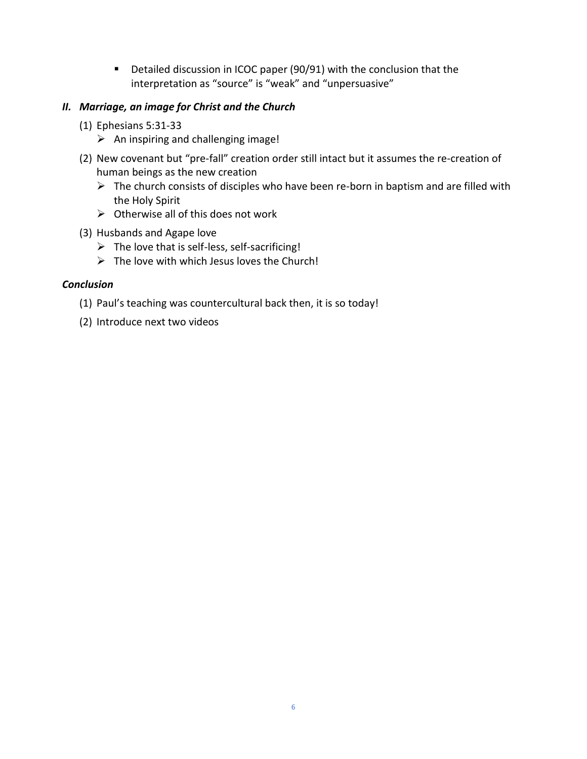■ Detailed discussion in ICOC paper (90/91) with the conclusion that the interpretation as "source" is "weak" and "unpersuasive"

## *II. Marriage, an image for Christ and the Church*

- (1) Ephesians 5:31-33
	- $\triangleright$  An inspiring and challenging image!
- (2) New covenant but "pre-fall" creation order still intact but it assumes the re-creation of human beings as the new creation
	- $\triangleright$  The church consists of disciples who have been re-born in baptism and are filled with the Holy Spirit
	- $\triangleright$  Otherwise all of this does not work
- (3) Husbands and Agape love
	- $\triangleright$  The love that is self-less, self-sacrificing!
	- $\triangleright$  The love with which Jesus loves the Church!

#### *Conclusion*

- (1) Paul's teaching was countercultural back then, it is so today!
- (2) Introduce next two videos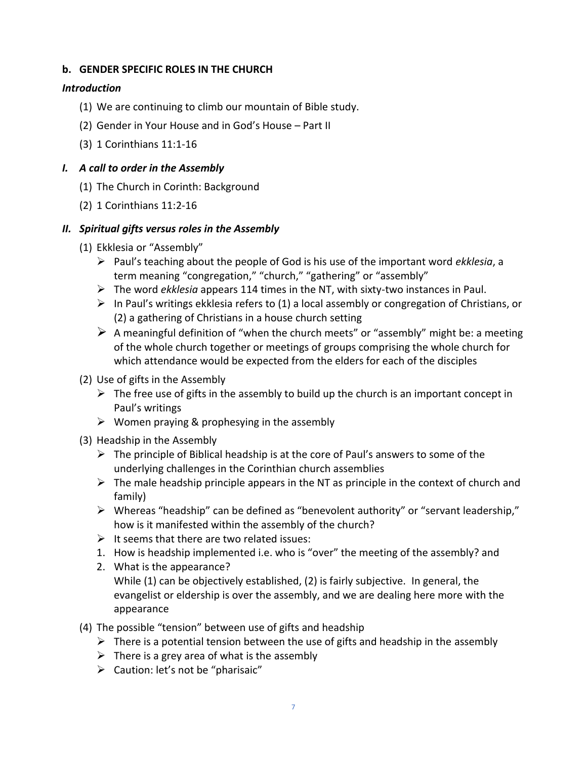## **b. GENDER SPECIFIC ROLES IN THE CHURCH**

#### *Introduction*

- (1) We are continuing to climb our mountain of Bible study.
- (2) Gender in Your House and in God's House Part II
- (3) 1 Corinthians 11:1-16

## *I. A call to order in the Assembly*

- (1) The Church in Corinth: Background
- (2) 1 Corinthians 11:2-16

#### *II. Spiritual gifts versus roles in the Assembly*

- (1) Ekklesia or "Assembly"
	- ➢ Paul's teaching about the people of God is his use of the important word *ekklesia*, a term meaning "congregation," "church," "gathering" or "assembly"
	- ➢ The word *ekklesia* appears 114 times in the NT, with sixty-two instances in Paul.
	- $\triangleright$  In Paul's writings ekklesia refers to (1) a local assembly or congregation of Christians, or (2) a gathering of Christians in a house church setting
	- $\triangleright$  A meaningful definition of "when the church meets" or "assembly" might be: a meeting of the whole church together or meetings of groups comprising the whole church for which attendance would be expected from the elders for each of the disciples
- (2) Use of gifts in the Assembly
	- $\triangleright$  The free use of gifts in the assembly to build up the church is an important concept in Paul's writings
	- $\triangleright$  Women praying & prophesying in the assembly
- (3) Headship in the Assembly
	- $\triangleright$  The principle of Biblical headship is at the core of Paul's answers to some of the underlying challenges in the Corinthian church assemblies
	- $\triangleright$  The male headship principle appears in the NT as principle in the context of church and family)
	- ➢ Whereas "headship" can be defined as "benevolent authority" or "servant leadership," how is it manifested within the assembly of the church?
	- $\triangleright$  It seems that there are two related issues:
	- 1. How is headship implemented i.e. who is "over" the meeting of the assembly? and
	- 2. What is the appearance? While (1) can be objectively established, (2) is fairly subjective. In general, the evangelist or eldership is over the assembly, and we are dealing here more with the appearance
- (4) The possible "tension" between use of gifts and headship
	- $\triangleright$  There is a potential tension between the use of gifts and headship in the assembly
	- $\triangleright$  There is a grey area of what is the assembly
	- ➢ Caution: let's not be "pharisaic"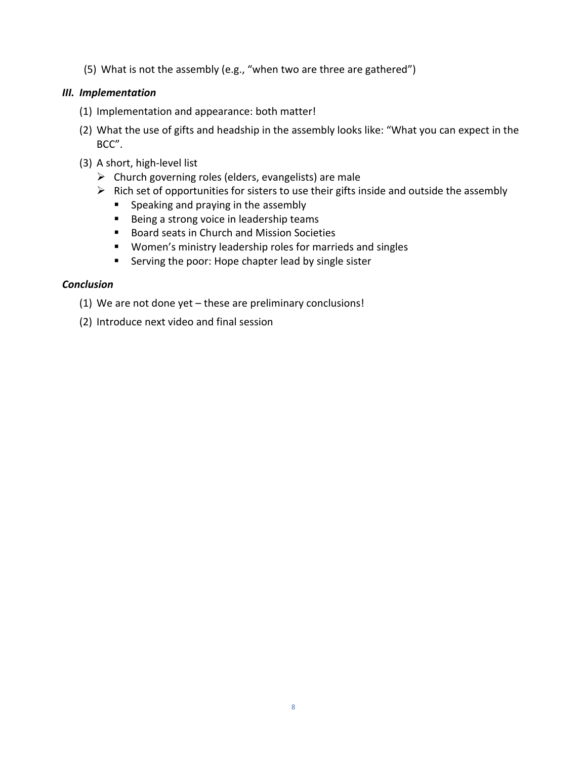(5) What is not the assembly (e.g., "when two are three are gathered")

## *III. Implementation*

- (1) Implementation and appearance: both matter!
- (2) What the use of gifts and headship in the assembly looks like: "What you can expect in the BCC".
- (3) A short, high-level list
	- $\triangleright$  Church governing roles (elders, evangelists) are male
	- $\triangleright$  Rich set of opportunities for sisters to use their gifts inside and outside the assembly
		- Speaking and praying in the assembly
		- Being a strong voice in leadership teams
		- Board seats in Church and Mission Societies
		- Women's ministry leadership roles for marrieds and singles
		- Serving the poor: Hope chapter lead by single sister

#### *Conclusion*

- (1) We are not done yet these are preliminary conclusions!
- (2) Introduce next video and final session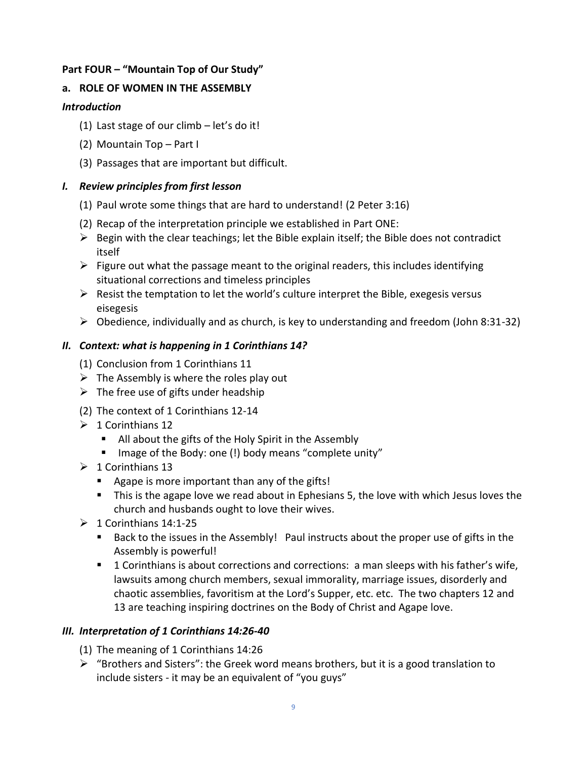# **Part FOUR – "Mountain Top of Our Study"**

# **a. ROLE OF WOMEN IN THE ASSEMBLY**

# *Introduction*

- (1) Last stage of our climb let's do it!
- (2) Mountain Top Part I
- (3) Passages that are important but difficult.

# *I. Review principles from first lesson*

- (1) Paul wrote some things that are hard to understand! (2 Peter 3:16)
- (2) Recap of the interpretation principle we established in Part ONE:
- $\triangleright$  Begin with the clear teachings; let the Bible explain itself; the Bible does not contradict itself
- $\triangleright$  Figure out what the passage meant to the original readers, this includes identifying situational corrections and timeless principles
- $\triangleright$  Resist the temptation to let the world's culture interpret the Bible, exegesis versus eisegesis
- $\triangleright$  Obedience, individually and as church, is key to understanding and freedom (John 8:31-32)

# *II. Context: what is happening in 1 Corinthians 14?*

- (1) Conclusion from 1 Corinthians 11
- $\triangleright$  The Assembly is where the roles play out
- $\triangleright$  The free use of gifts under headship
- (2) The context of 1 Corinthians 12-14
- $\geq 1$  Corinthians 12
	- All about the gifts of the Holy Spirit in the Assembly
	- Image of the Body: one (!) body means "complete unity"
- $\geq 1$  Corinthians 13
	- Agape is more important than any of the gifts!
	- This is the agape love we read about in Ephesians 5, the love with which Jesus loves the church and husbands ought to love their wives.
- $\geq 1$  Corinthians 14:1-25
	- Back to the issues in the Assembly! Paul instructs about the proper use of gifts in the Assembly is powerful!
	- 1 Corinthians is about corrections and corrections: a man sleeps with his father's wife, lawsuits among church members, sexual immorality, marriage issues, disorderly and chaotic assemblies, favoritism at the Lord's Supper, etc. etc. The two chapters 12 and 13 are teaching inspiring doctrines on the Body of Christ and Agape love.

# *III. Interpretation of 1 Corinthians 14:26-40*

- (1) The meaning of 1 Corinthians 14:26
- $\triangleright$  "Brothers and Sisters": the Greek word means brothers, but it is a good translation to include sisters - it may be an equivalent of "you guys"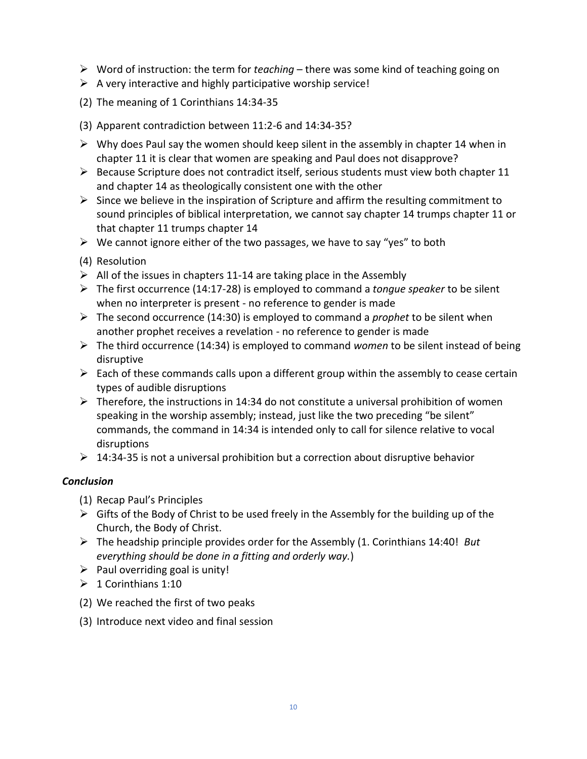- ➢ Word of instruction: the term for *teaching* there was some kind of teaching going on
- $\triangleright$  A very interactive and highly participative worship service!
- (2) The meaning of 1 Corinthians 14:34-35
- (3) Apparent contradiction between 11:2-6 and 14:34-35?
- $\triangleright$  Why does Paul say the women should keep silent in the assembly in chapter 14 when in chapter 11 it is clear that women are speaking and Paul does not disapprove?
- $\triangleright$  Because Scripture does not contradict itself, serious students must view both chapter 11 and chapter 14 as theologically consistent one with the other
- $\triangleright$  Since we believe in the inspiration of Scripture and affirm the resulting commitment to sound principles of biblical interpretation, we cannot say chapter 14 trumps chapter 11 or that chapter 11 trumps chapter 14
- $\triangleright$  We cannot ignore either of the two passages, we have to say "yes" to both
- (4) Resolution
- $\triangleright$  All of the issues in chapters 11-14 are taking place in the Assembly
- ➢ The first occurrence (14:17-28) is employed to command a *tongue speaker* to be silent when no interpreter is present - no reference to gender is made
- ➢ The second occurrence (14:30) is employed to command a *prophet* to be silent when another prophet receives a revelation - no reference to gender is made
- ➢ The third occurrence (14:34) is employed to command *women* to be silent instead of being disruptive
- $\triangleright$  Each of these commands calls upon a different group within the assembly to cease certain types of audible disruptions
- $\triangleright$  Therefore, the instructions in 14:34 do not constitute a universal prohibition of women speaking in the worship assembly; instead, just like the two preceding "be silent" commands, the command in 14:34 is intended only to call for silence relative to vocal disruptions
- $\geq 14:34-35$  is not a universal prohibition but a correction about disruptive behavior

## *Conclusion*

- (1) Recap Paul's Principles
- $\triangleright$  Gifts of the Body of Christ to be used freely in the Assembly for the building up of the Church, the Body of Christ.
- ➢ The headship principle provides order for the Assembly (1. Corinthians 14:40! *But everything should be done in a fitting and orderly way.*)
- $\triangleright$  Paul overriding goal is unity!
- $\geqslant$  1 Corinthians 1:10
- (2) We reached the first of two peaks
- (3) Introduce next video and final session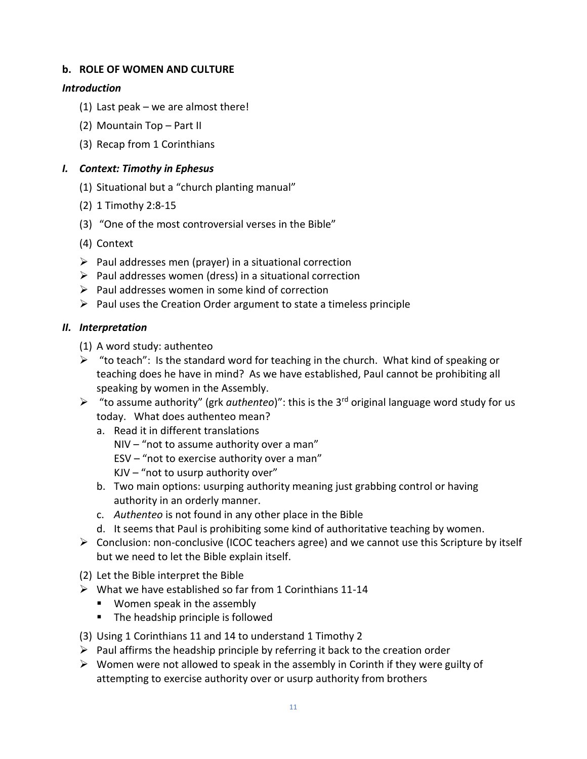## **b. ROLE OF WOMEN AND CULTURE**

#### *Introduction*

- (1) Last peak we are almost there!
- (2) Mountain Top Part II
- (3) Recap from 1 Corinthians

# *I. Context: Timothy in Ephesus*

- (1) Situational but a "church planting manual"
- (2) 1 Timothy 2:8-15
- (3) "One of the most controversial verses in the Bible"
- (4) Context
- $\triangleright$  Paul addresses men (prayer) in a situational correction
- $\triangleright$  Paul addresses women (dress) in a situational correction
- ➢ Paul addresses women in some kind of correction
- $\triangleright$  Paul uses the Creation Order argument to state a timeless principle

# *II. Interpretation*

- (1) A word study: authenteo
- $\triangleright$  "to teach": Is the standard word for teaching in the church. What kind of speaking or teaching does he have in mind? As we have established, Paul cannot be prohibiting all speaking by women in the Assembly.
- ➢ "to assume authority" (grk *authenteo*)": this is the 3rd original language word study for us today. What does authenteo mean?
	- a. Read it in different translations
		- NIV "not to assume authority over a man"
		- ESV "not to exercise authority over a man"
		- $K$ JV "not to usurp authority over"
	- b. Two main options: usurping authority meaning just grabbing control or having authority in an orderly manner.
	- c. *Authenteo* is not found in any other place in the Bible
	- d. It seems that Paul is prohibiting some kind of authoritative teaching by women.
- ➢ Conclusion: non-conclusive (ICOC teachers agree) and we cannot use this Scripture by itself but we need to let the Bible explain itself.
- (2) Let the Bible interpret the Bible
- $\triangleright$  What we have established so far from 1 Corinthians 11-14
	- Women speak in the assembly
	- The headship principle is followed
- (3) Using 1 Corinthians 11 and 14 to understand 1 Timothy 2
- $\triangleright$  Paul affirms the headship principle by referring it back to the creation order
- $\triangleright$  Women were not allowed to speak in the assembly in Corinth if they were guilty of attempting to exercise authority over or usurp authority from brothers